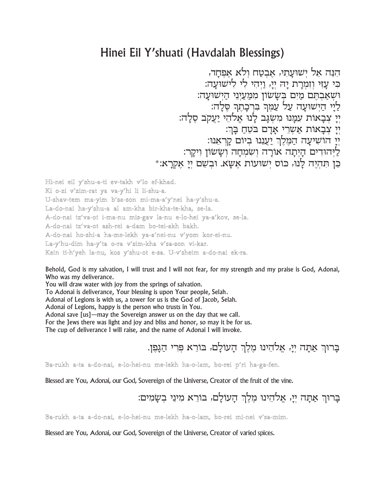# Hinei Eil Y'shuati (Havdalah Blessings)

הנה אל ישועתי, אבטח ולא אפחר, כִּי עַזִי וְזִמְרַת יַה יְיַ, וַיִּהִי לִי לִישוּעֲה: וּשְׁאַבְהֶם מַיִּם בְּשָׂשׂוֹן מִמַּעֲיְנֵי הַיְשׁוּעָה: לַיָּי הַיִּשׁוּעָה עַל עַמִּךְ בִּרְכָהֵךְ סֶלָה: יִי צִבָאות עִמַּנוּ מִשְגַּב לַנוּ אֵלהֵי יַעֲקב סַלַה: יִי עִבְאוֹת אַשְרֵי אַדָם בּטֶחַ בַּךְ: יִי הוֹשִׁיעַה הַמֵּלֵךְ יַעֲנָנוּ בִיוֹם קַרְאָנוּ: ליהודים היתה אורה ושמחה וששון ויקר: כן תהיה לנו, כוס ישועות אשא. ובשם יי אקרא:\*

Hi-nei eil y'shu-a-ti ev-takh v'lo ef-khad. Ki o-zi v'zim-rat ya va-y'hi li li-shu-a. U-shav-tem ma-yim b'sa-son mi-ma-a'y'nei ha-y'shu-a. La-do-nai ha-y'shu-a al am-kha bir-kha-te-kha, se-la. A-do-nai tz'va-ot i-ma-nu mis-gav la-nu e-lo-hei ya-a'kov, se-la. A-do-nai tz'va-ot ash-rei a-dam bo-tei-akh bakh. A-do-nai ho-shi-a ha-me-lekh ya-a'nei-nu v'yom kor-ei-nu. La-y'hu-dim ha-y'ta o-ra v'sim-kha v'sa-son vi-kar. Kein ti-h'yeh la-nu, kos y'shu-ot e-sa. U-v'sheim a-do-nai ek-ra.

Behold, God is my salvation, I will trust and I will not fear, for my strength and my praise is God, Adonai, Who was my deliverance.

You will draw water with joy from the springs of salvation.

To Adonai is deliverance, Your blessing is upon Your people, Selah.

Adonai of Legions is with us, a tower for us is the God of Jacob, Selah.

Adonai of Legions, happy is the person who trusts in You.

Adonai save [us]—may the Sovereign answer us on the day that we call.

For the Jews there was light and joy and bliss and honor, so may it be for us.

The cup of deliverance I will raise, and the name of Adonai I will invoke.

## ברור אתה יי, אלהינו מלר העולם, בורא פרי הגפו.

#### Ba-rukh a-ta a-do-nai, e-lo-hei-nu me-lekh ha-o-lam, bo-rei p'ri ha-ga-fen.

Blessed are You, Adonai, our God, Sovereign of the Universe, Creator of the fruit of the vine.

ברור אתה יי, אלהינו מלך העולם, בורא מיני בשמים:

### Ba-rukh a-ta a-do-nai, e-lo-hei-nu me-lekh ha-o-lam, bo-rei mi-nei v'sa-mim.

Blessed are You, Adonai, our God, Sovereign of the Universe, Creator of varied spices.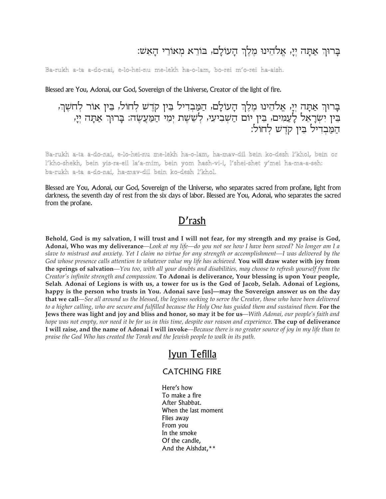# בָרוּךְ אַתָּה יִיַ, אֱלֹהֵינוּ מֵלֵךְ הָעוֹלָם, בּוֹרֵא מִאוֹרֵי הָאֵשׁ:

#### Ba-rukh a-ta a-do-nai, e-lo-hei-nu me-lekh ha-o-lam, bo-rei m'o-rei ha-aish.

Blessed are You, Adonai, our God, Sovereign of the Universe, Creator of the light of fire.

בַרוּךְ אַתַּה יְיַ, אֱלֹהֵינוּ מֶלֶךְ הַעוֹלַם, הַמַּבְדִיל בֵּין קֹדֵשׁ לְחוֹל, בֵּין אוֹר לְחֹשֶׁךְ, בִּין יִשְׂרָאֵל לַעֲמִים, בִּין יוֹם הַשְׁבִיעִי, לְשֵׁשֶׁת יְמֵי הַמַּעֲשֶׂה: בָּרוּךְ אַתָה יְיָ, המבדיל ביו קדש לחול:

Ba-rukh a-ta a-do-nai, e-lo-hei-nu me-lekh ha-o-lam, ha-mav-dil bein ko-desh l'khol, bein or l'kho-shekh, bein yis-ra-eil la'a-mim, bein yom hash-vi-i, l'shei-shet y'mei ha-ma-a-seh: ba-rukh a-ta a-do-nai, ha-mav-dil bein ko-desh l'khol.

Blessed are You, Adonai, our God, Sovereign of the Universe, who separates sacred from profane, light from darkness, the seventh day of rest from the six days of labor. Blessed are You, Adonai, who separates the sacred from the profane.

## D'rash

Behold, God is my salvation, I will trust and I will not fear, for my strength and my praise is God, Adonai, Who was my deliverance—Look at my life—do you not see how I have been saved? No longer am I a slave to mistrust and anxiety. Yet I claim no virtue for any strength or accomplishment—I was delivered by the God whose presence calls attention to whatever value my life has achieved. You will draw water with joy from the springs of salvation—You too, with all your doubts and disabilities, may choose to refresh yourself from the Creator's infinite strength and compassion. To Adonai is deliverance, Your blessing is upon Your people, Selah. Adonai of Legions is with us, a tower for us is the God of Jacob, Selah. Adonai of Legions, happy is the person who trusts in You. Adonai save [us]—may the Sovereign answer us on the day that we call—See all around us the blessed, the legions seeking to serve the Creator, those who have been delivered to a higher calling, who are secure and fulfilled because the Holy One has guided them and sustained them. For the Jews there was light and joy and bliss and honor, so may it be for us—With Adonai, our people's faith and hope was not empty, nor need it be for us in this time, despite our reason and experience. The cup of deliverance I will raise, and the name of Adonai I will invoke—Because there is no greater source of joy in my life than to praise the God Who has created the Torah and the Jewish people to walk in its path.

## Iyun Tefilla

### **CATCHING FIRE**

Here's how To make a fire After Shabbat. When the last moment Flies away From you In the smoke Of the candle, And the Aishdat,\*\*